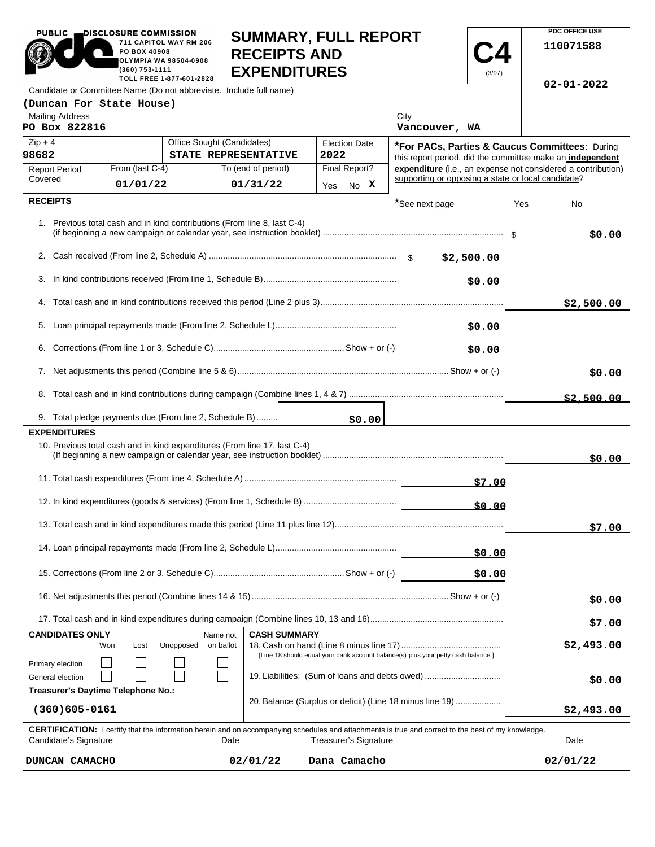| <b>PUBLIC</b>                                                                                  | DISCLOSURE COMMISSION                                  |                                                                                                                                                            | <b>SUMMARY, FULL REPORT</b>                |      |                      |                                                                                   |            |                  | PDC OFFICE USE                                               |
|------------------------------------------------------------------------------------------------|--------------------------------------------------------|------------------------------------------------------------------------------------------------------------------------------------------------------------|--------------------------------------------|------|----------------------|-----------------------------------------------------------------------------------|------------|------------------|--------------------------------------------------------------|
|                                                                                                | PO BOX 40908<br>(360) 753-1111                         | 711 CAPITOL WAY RM 206<br><b>OLYMPIA WA 98504-0908</b>                                                                                                     | <b>RECEIPTS AND</b><br><b>EXPENDITURES</b> |      |                      |                                                                                   | (3/97)     |                  | 110071588                                                    |
| TOLL FREE 1-877-601-2828<br>Candidate or Committee Name (Do not abbreviate. Include full name) |                                                        |                                                                                                                                                            |                                            |      |                      |                                                                                   |            | $02 - 01 - 2022$ |                                                              |
| (Duncan For State House)                                                                       |                                                        |                                                                                                                                                            |                                            |      |                      |                                                                                   |            |                  |                                                              |
| <b>Mailing Address</b><br>PO Box 822816                                                        |                                                        |                                                                                                                                                            |                                            |      |                      | City<br>Vancouver, WA                                                             |            |                  |                                                              |
| $Zip + 4$                                                                                      |                                                        | Office Sought (Candidates)                                                                                                                                 |                                            |      | <b>Election Date</b> |                                                                                   |            |                  | *For PACs, Parties & Caucus Committees: During               |
| 98682                                                                                          |                                                        | STATE REPRESENTATIVE                                                                                                                                       |                                            | 2022 |                      |                                                                                   |            |                  | this report period, did the committee make an independent    |
| <b>Report Period</b><br>Covered                                                                | From (last C-4)                                        |                                                                                                                                                            | To (end of period)                         |      | Final Report?        | supporting or opposing a state or local candidate?                                |            |                  | expenditure (i.e., an expense not considered a contribution) |
|                                                                                                | 01/01/22                                               |                                                                                                                                                            | 01/31/22                                   |      | Yes No X             |                                                                                   |            |                  |                                                              |
| <b>RECEIPTS</b>                                                                                |                                                        |                                                                                                                                                            |                                            |      |                      | *See next page                                                                    |            | Yes              | No                                                           |
|                                                                                                |                                                        | 1. Previous total cash and in kind contributions (From line 8, last C-4)                                                                                   |                                            |      |                      |                                                                                   |            |                  | \$0.00                                                       |
|                                                                                                |                                                        |                                                                                                                                                            |                                            |      |                      |                                                                                   |            |                  |                                                              |
| 3.                                                                                             |                                                        |                                                                                                                                                            |                                            |      |                      |                                                                                   | \$0.00     |                  |                                                              |
|                                                                                                |                                                        |                                                                                                                                                            |                                            |      |                      |                                                                                   |            |                  | \$2,500.00                                                   |
|                                                                                                |                                                        |                                                                                                                                                            |                                            |      |                      |                                                                                   | \$0.00     |                  |                                                              |
| 6.                                                                                             |                                                        |                                                                                                                                                            |                                            |      |                      |                                                                                   | \$0.00     |                  |                                                              |
|                                                                                                |                                                        |                                                                                                                                                            |                                            |      |                      |                                                                                   | \$0.00     |                  |                                                              |
|                                                                                                |                                                        |                                                                                                                                                            |                                            |      |                      |                                                                                   |            |                  | \$2,500.00                                                   |
|                                                                                                |                                                        | 9. Total pledge payments due (From line 2, Schedule B)                                                                                                     |                                            |      | \$0.00               |                                                                                   |            |                  |                                                              |
| <b>EXPENDITURES</b>                                                                            |                                                        |                                                                                                                                                            |                                            |      |                      |                                                                                   |            |                  |                                                              |
|                                                                                                |                                                        | 10. Previous total cash and in kind expenditures (From line 17, last C-4)                                                                                  |                                            |      |                      |                                                                                   |            |                  | \$0.00                                                       |
|                                                                                                |                                                        |                                                                                                                                                            |                                            |      |                      |                                                                                   | \$7.00     |                  |                                                              |
|                                                                                                |                                                        |                                                                                                                                                            |                                            |      |                      |                                                                                   | \$0.00     |                  |                                                              |
|                                                                                                |                                                        |                                                                                                                                                            |                                            |      |                      |                                                                                   |            |                  | \$7.00                                                       |
|                                                                                                |                                                        |                                                                                                                                                            |                                            |      |                      |                                                                                   | \$0.00     |                  |                                                              |
|                                                                                                |                                                        |                                                                                                                                                            |                                            |      | \$0.00               |                                                                                   |            |                  |                                                              |
|                                                                                                |                                                        |                                                                                                                                                            |                                            |      |                      |                                                                                   | \$0.00     |                  |                                                              |
|                                                                                                |                                                        |                                                                                                                                                            |                                            |      |                      |                                                                                   |            |                  | \$7.00                                                       |
| <b>CANDIDATES ONLY</b><br><b>CASH SUMMARY</b><br>Name not                                      |                                                        |                                                                                                                                                            |                                            |      |                      |                                                                                   |            |                  |                                                              |
|                                                                                                | Won<br>Lost                                            | Unopposed<br>on ballot                                                                                                                                     |                                            |      |                      | [Line 18 should equal your bank account balance(s) plus your petty cash balance.] |            |                  | \$2,493.00                                                   |
| Primary election<br>General election                                                           | 19. Liabilities: (Sum of loans and debts owed)         |                                                                                                                                                            |                                            |      |                      |                                                                                   | \$0.00     |                  |                                                              |
| Treasurer's Daytime Telephone No.:                                                             |                                                        |                                                                                                                                                            |                                            |      |                      |                                                                                   |            |                  |                                                              |
| 20. Balance (Surplus or deficit) (Line 18 minus line 19)<br>$(360)605 - 0161$                  |                                                        |                                                                                                                                                            |                                            |      |                      |                                                                                   | \$2,493.00 |                  |                                                              |
|                                                                                                |                                                        | <b>CERTIFICATION:</b> I certify that the information herein and on accompanying schedules and attachments is true and correct to the best of my knowledge. |                                            |      |                      |                                                                                   |            |                  |                                                              |
|                                                                                                | Candidate's Signature<br>Date<br>Treasurer's Signature |                                                                                                                                                            |                                            |      |                      |                                                                                   |            |                  | Date                                                         |
| Dana Camacho<br>DUNCAN CAMACHO<br>02/01/22                                                     |                                                        |                                                                                                                                                            |                                            |      |                      |                                                                                   |            | 02/01/22         |                                                              |

**PDC OFFICE USE** 

PUBLIC **DISCLOSURE COMMISSION**